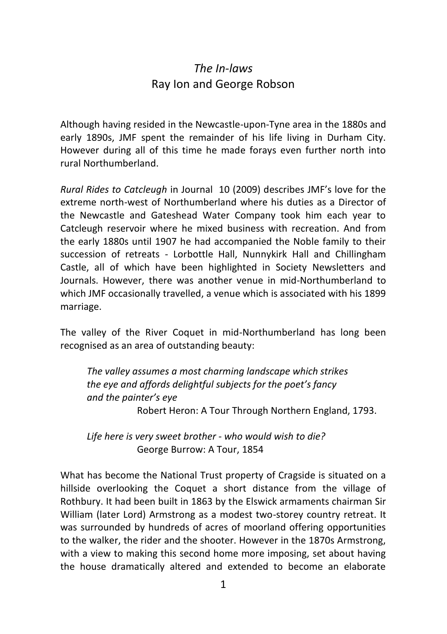## *The In-laws* Ray Ion and George Robson

Although having resided in the Newcastle-upon-Tyne area in the 1880s and early 1890s, JMF spent the remainder of his life living in Durham City. However during all of this time he made forays even further north into rural Northumberland.

*Rural Rides to Catcleugh* in Journal 10 (2009) describes JMF's love for the extreme north-west of Northumberland where his duties as a Director of the Newcastle and Gateshead Water Company took him each year to Catcleugh reservoir where he mixed business with recreation. And from the early 1880s until 1907 he had accompanied the Noble family to their succession of retreats - Lorbottle Hall, Nunnykirk Hall and Chillingham Castle, all of which have been highlighted in Society Newsletters and Journals. However, there was another venue in mid-Northumberland to which JMF occasionally travelled, a venue which is associated with his 1899 marriage.

The valley of the River Coquet in mid-Northumberland has long been recognised as an area of outstanding beauty:

 *The valley assumes a most charming landscape which strikes the eye and affords delightful subjects for the poet's fancy and the painter's eye*  Robert Heron: A Tour Through Northern England, 1793.

 *Life here is very sweet brother - who would wish to die?* George Burrow: A Tour, 1854

What has become the National Trust property of Cragside is situated on a hillside overlooking the Coquet a short distance from the village of Rothbury. It had been built in 1863 by the Elswick armaments chairman Sir William (later Lord) Armstrong as a modest two-storey country retreat. It was surrounded by hundreds of acres of moorland offering opportunities to the walker, the rider and the shooter. However in the 1870s Armstrong, with a view to making this second home more imposing, set about having the house dramatically altered and extended to become an elaborate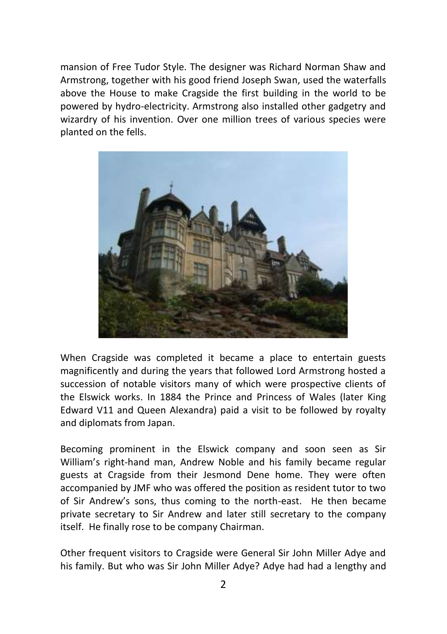mansion of Free Tudor Style. The designer was Richard Norman Shaw and Armstrong, together with his good friend Joseph Swan, used the waterfalls above the House to make Cragside the first building in the world to be powered by hydro-electricity. Armstrong also installed other gadgetry and wizardry of his invention. Over one million trees of various species were planted on the fells.



When Cragside was completed it became a place to entertain guests magnificently and during the years that followed Lord Armstrong hosted a succession of notable visitors many of which were prospective clients of the Elswick works. In 1884 the Prince and Princess of Wales (later King Edward V11 and Queen Alexandra) paid a visit to be followed by royalty and diplomats from Japan.

Becoming prominent in the Elswick company and soon seen as Sir William's right-hand man, Andrew Noble and his family became regular guests at Cragside from their Jesmond Dene home. They were often accompanied by JMF who was offered the position as resident tutor to two of Sir Andrew's sons, thus coming to the north-east. He then became private secretary to Sir Andrew and later still secretary to the company itself. He finally rose to be company Chairman.

Other frequent visitors to Cragside were General Sir John Miller Adye and his family. But who was Sir John Miller Adye? Adye had had a lengthy and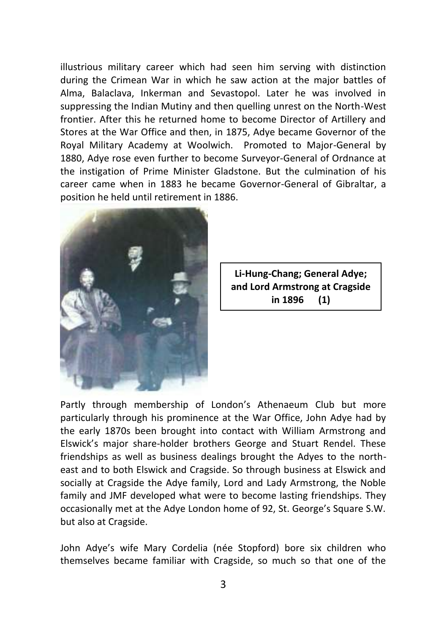illustrious military career which had seen him serving with distinction during the Crimean War in which he saw action at the major battles of Alma, Balaclava, Inkerman and Sevastopol. Later he was involved in suppressing the Indian Mutiny and then quelling unrest on the North-West frontier. After this he returned home to become Director of Artillery and Stores at the War Office and then, in 1875, Adye became Governor of the Royal Military Academy at Woolwich. Promoted to Major-General by 1880, Adye rose even further to become Surveyor-General of Ordnance at the instigation of Prime Minister Gladstone. But the culmination of his career came when in 1883 he became Governor-General of Gibraltar, a position he held until retirement in 1886.



**Li-Hung-Chang; General Adye; and Lord Armstrong at Cragside in 1896 (1)**

Partly through membership of London's Athenaeum Club but more particularly through his prominence at the War Office, John Adye had by the early 1870s been brought into contact with William Armstrong and Elswick's major share-holder brothers George and Stuart Rendel. These friendships as well as business dealings brought the Adyes to the northeast and to both Elswick and Cragside. So through business at Elswick and socially at Cragside the Adye family, Lord and Lady Armstrong, the Noble family and JMF developed what were to become lasting friendships. They occasionally met at the Adye London home of 92, St. George's Square S.W. but also at Cragside.

John Adye's wife Mary Cordelia (née Stopford) bore six children who themselves became familiar with Cragside, so much so that one of the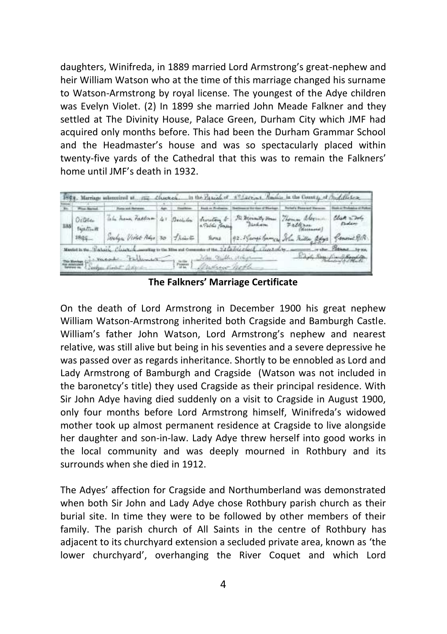daughters, Winifreda, in 1889 married Lord Armstrong's great-nephew and heir William Watson who at the time of this marriage changed his surname to Watson-Armstrong by royal license. The youngest of the Adye children was Evelyn Violet. (2) In 1899 she married John Meade Falkner and they settled at The Divinity House, Palace Green, Durham City which JMF had acquired only months before. This had been the Durham Grammar School and the Headmaster's house and was so spectacularly placed within twenty-five yards of the Cathedral that this was to remain the Falkners' home until JMF's death in 1932.



**The Falkners' Marriage Certificate**

On the death of Lord Armstrong in December 1900 his great nephew William Watson-Armstrong inherited both Cragside and Bamburgh Castle. William's father John Watson, Lord Armstrong's nephew and nearest relative, was still alive but being in his seventies and a severe depressive he was passed over as regards inheritance. Shortly to be ennobled as Lord and Lady Armstrong of Bamburgh and Cragside (Watson was not included in the baronetcy's title) they used Cragside as their principal residence. With Sir John Adye having died suddenly on a visit to Cragside in August 1900, only four months before Lord Armstrong himself, Winifreda's widowed mother took up almost permanent residence at Cragside to live alongside her daughter and son-in-law. Lady Adye threw herself into good works in the local community and was deeply mourned in Rothbury and its surrounds when she died in 1912.

The Adyes' affection for Cragside and Northumberland was demonstrated when both Sir John and Lady Adye chose Rothbury parish church as their burial site. In time they were to be followed by other members of their family. The parish church of All Saints in the centre of Rothbury has adjacent to its churchyard extension a secluded private area, known as 'the lower churchyard', overhanging the River Coquet and which Lord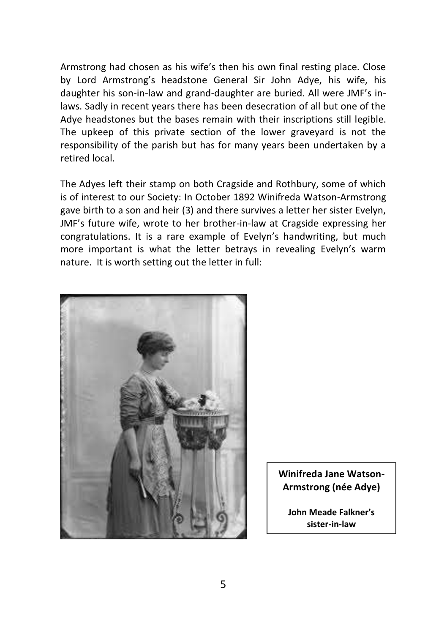Armstrong had chosen as his wife's then his own final resting place. Close by Lord Armstrong's headstone General Sir John Adye, his wife, his daughter his son-in-law and grand-daughter are buried. All were JMF's inlaws. Sadly in recent years there has been desecration of all but one of the Adye headstones but the bases remain with their inscriptions still legible. The upkeep of this private section of the lower graveyard is not the responsibility of the parish but has for many years been undertaken by a retired local.

The Adyes left their stamp on both Cragside and Rothbury, some of which is of interest to our Society: In October 1892 Winifreda Watson-Armstrong gave birth to a son and heir (3) and there survives a letter her sister Evelyn, JMF's future wife, wrote to her brother-in-law at Cragside expressing her congratulations. It is a rare example of Evelyn's handwriting, but much more important is what the letter betrays in revealing Evelyn's warm nature. It is worth setting out the letter in full:



**Winifreda Jane Watson-Armstrong (née Adye)**

**John Meade Falkner's sister-in-law**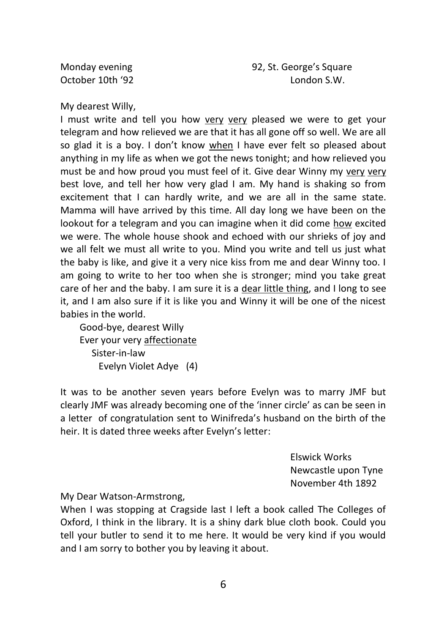Monday evening and the state of the 92, St. George's Square October 10th '92 London S.W.

My dearest Willy,

I must write and tell you how very very pleased we were to get your telegram and how relieved we are that it has all gone off so well. We are all so glad it is a boy. I don't know when I have ever felt so pleased about anything in my life as when we got the news tonight; and how relieved you must be and how proud you must feel of it. Give dear Winny my very very best love, and tell her how very glad I am. My hand is shaking so from excitement that I can hardly write, and we are all in the same state. Mamma will have arrived by this time. All day long we have been on the lookout for a telegram and you can imagine when it did come how excited we were. The whole house shook and echoed with our shrieks of iov and we all felt we must all write to you. Mind you write and tell us just what the baby is like, and give it a very nice kiss from me and dear Winny too. I am going to write to her too when she is stronger; mind you take great care of her and the baby. I am sure it is a dear little thing, and I long to see it, and I am also sure if it is like you and Winny it will be one of the nicest babies in the world.

 Good-bye, dearest Willy Ever your very affectionate Sister-in-law Evelyn Violet Adye (4)

It was to be another seven years before Evelyn was to marry JMF but clearly JMF was already becoming one of the 'inner circle' as can be seen in a letter of congratulation sent to Winifreda's husband on the birth of the heir. It is dated three weeks after Evelyn's letter:

> Elswick Works Newcastle upon Tyne November 4th 1892

My Dear Watson-Armstrong,

When I was stopping at Cragside last I left a book called The Colleges of Oxford, I think in the library. It is a shiny dark blue cloth book. Could you tell your butler to send it to me here. It would be very kind if you would and I am sorry to bother you by leaving it about.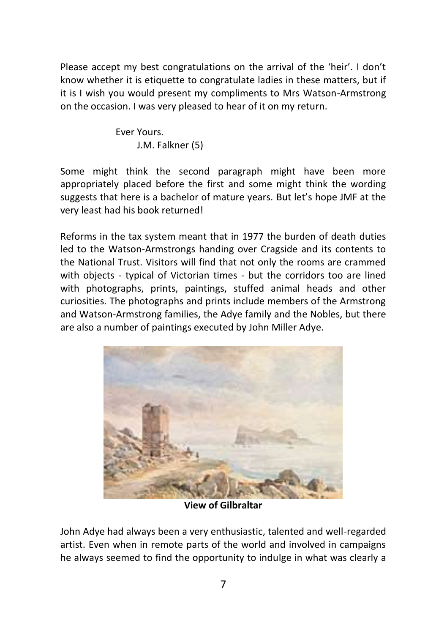Please accept my best congratulations on the arrival of the 'heir'. I don't know whether it is etiquette to congratulate ladies in these matters, but if it is I wish you would present my compliments to Mrs Watson-Armstrong on the occasion. I was very pleased to hear of it on my return.

> Ever Yours. J.M. Falkner (5)

Some might think the second paragraph might have been more appropriately placed before the first and some might think the wording suggests that here is a bachelor of mature years. But let's hope JMF at the very least had his book returned!

Reforms in the tax system meant that in 1977 the burden of death duties led to the Watson-Armstrongs handing over Cragside and its contents to the National Trust. Visitors will find that not only the rooms are crammed with objects - typical of Victorian times - but the corridors too are lined with photographs, prints, paintings, stuffed animal heads and other curiosities. The photographs and prints include members of the Armstrong and Watson-Armstrong families, the Adye family and the Nobles, but there are also a number of paintings executed by John Miller Adye.



**View of Gilbraltar**

John Adye had always been a very enthusiastic, talented and well-regarded artist. Even when in remote parts of the world and involved in campaigns he always seemed to find the opportunity to indulge in what was clearly a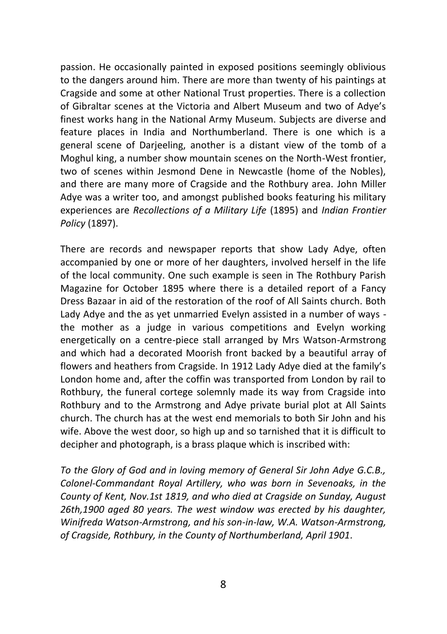passion. He occasionally painted in exposed positions seemingly oblivious to the dangers around him. There are more than twenty of his paintings at Cragside and some at other National Trust properties. There is a collection of Gibraltar scenes at the Victoria and Albert Museum and two of Adye's finest works hang in the National Army Museum. Subjects are diverse and feature places in India and Northumberland. There is one which is a general scene of Darjeeling, another is a distant view of the tomb of a Moghul king, a number show mountain scenes on the North-West frontier, two of scenes within Jesmond Dene in Newcastle (home of the Nobles), and there are many more of Cragside and the Rothbury area. John Miller Adye was a writer too, and amongst published books featuring his military experiences are *Recollections of a Military Life* (1895) and *Indian Frontier Policy* (1897).

There are records and newspaper reports that show Lady Adye, often accompanied by one or more of her daughters, involved herself in the life of the local community. One such example is seen in The Rothbury Parish Magazine for October 1895 where there is a detailed report of a Fancy Dress Bazaar in aid of the restoration of the roof of All Saints church. Both Lady Adye and the as yet unmarried Evelyn assisted in a number of ways the mother as a judge in various competitions and Evelyn working energetically on a centre-piece stall arranged by Mrs Watson-Armstrong and which had a decorated Moorish front backed by a beautiful array of flowers and heathers from Cragside. In 1912 Lady Adye died at the family's London home and, after the coffin was transported from London by rail to Rothbury, the funeral cortege solemnly made its way from Cragside into Rothbury and to the Armstrong and Adye private burial plot at All Saints church. The church has at the west end memorials to both Sir John and his wife. Above the west door, so high up and so tarnished that it is difficult to decipher and photograph, is a brass plaque which is inscribed with:

*To the Glory of God and in loving memory of General Sir John Adye G.C.B., Colonel-Commandant Royal Artillery, who was born in Sevenoaks, in the County of Kent, Nov.1st 1819, and who died at Cragside on Sunday, August 26th,1900 aged 80 years. The west window was erected by his daughter, Winifreda Watson-Armstrong, and his son-in-law, W.A. Watson-Armstrong, of Cragside, Rothbury, in the County of Northumberland, April 1901.*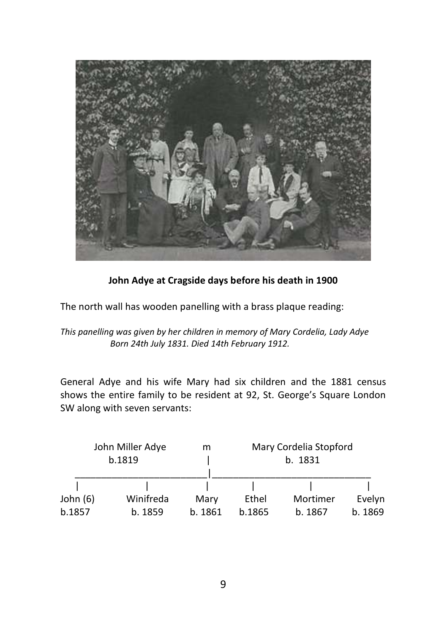

## **John Adye at Cragside days before his death in 1900**

The north wall has wooden panelling with a brass plaque reading:

*This panelling was given by her children in memory of Mary Cordelia, Lady Adye Born 24th July 1831. Died 14th February 1912.* 

General Adye and his wife Mary had six children and the 1881 census shows the entire family to be resident at 92, St. George's Square London SW along with seven servants:

| John Miller Adye<br>b.1819 |           | m       | Mary Cordelia Stopford<br>b. 1831 |          |         |
|----------------------------|-----------|---------|-----------------------------------|----------|---------|
|                            |           |         |                                   |          |         |
| John $(6)$                 | Winifreda | Mary    | Ethel                             | Mortimer | Evelyn  |
| b.1857                     | b. 1859   | b. 1861 | b.1865                            | b. 1867  | b. 1869 |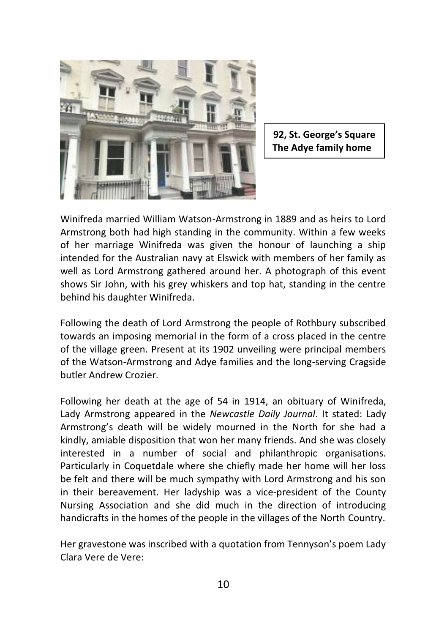

**92, St. George's Square The Adye family home**

Winifreda married William Watson-Armstrong in 1889 and as heirs to Lord Armstrong both had high standing in the community. Within a few weeks of her marriage Winifreda was given the honour of launching a ship intended for the Australian navy at Elswick with members of her family as well as Lord Armstrong gathered around her. A photograph of this event shows Sir John, with his grey whiskers and top hat, standing in the centre behind his daughter Winifreda.

Following the death of Lord Armstrong the people of Rothbury subscribed towards an imposing memorial in the form of a cross placed in the centre of the village green. Present at its 1902 unveiling were principal members of the Watson-Armstrong and Adye families and the long-serving Cragside butler Andrew Crozier.

Following her death at the age of 54 in 1914, an obituary of Winifreda, Lady Armstrong appeared in the *Newcastle Daily Journal*. It stated: Lady Armstrong's death will be widely mourned in the North for she had a kindly, amiable disposition that won her many friends. And she was closely interested in a number of social and philanthropic organisations. Particularly in Coquetdale where she chiefly made her home will her loss be felt and there will be much sympathy with Lord Armstrong and his son in their bereavement. Her ladyship was a vice-president of the County Nursing Association and she did much in the direction of introducing handicrafts in the homes of the people in the villages of the North Country.

Her gravestone was inscribed with a quotation from Tennyson's poem Lady Clara Vere de Vere: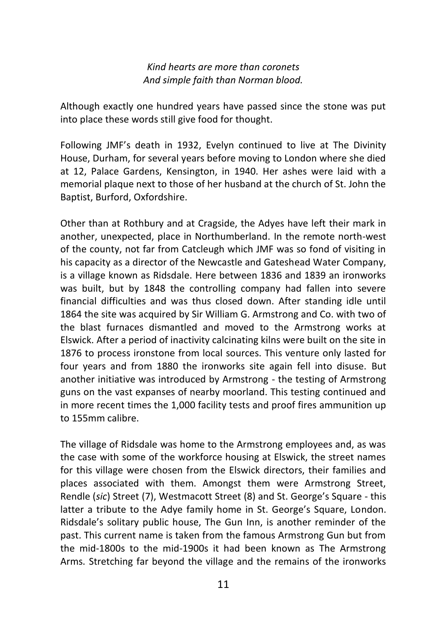*Kind hearts are more than coronets And simple faith than Norman blood.*

Although exactly one hundred years have passed since the stone was put into place these words still give food for thought.

Following JMF's death in 1932, Evelyn continued to live at The Divinity House, Durham, for several years before moving to London where she died at 12, Palace Gardens, Kensington, in 1940. Her ashes were laid with a memorial plaque next to those of her husband at the church of St. John the Baptist, Burford, Oxfordshire.

Other than at Rothbury and at Cragside, the Adyes have left their mark in another, unexpected, place in Northumberland. In the remote north-west of the county, not far from Catcleugh which JMF was so fond of visiting in his capacity as a director of the Newcastle and Gateshead Water Company, is a village known as Ridsdale. Here between 1836 and 1839 an ironworks was built, but by 1848 the controlling company had fallen into severe financial difficulties and was thus closed down. After standing idle until 1864 the site was acquired by Sir William G. Armstrong and Co. with two of the blast furnaces dismantled and moved to the Armstrong works at Elswick. After a period of inactivity calcinating kilns were built on the site in 1876 to process ironstone from local sources. This venture only lasted for four years and from 1880 the ironworks site again fell into disuse. But another initiative was introduced by Armstrong - the testing of Armstrong guns on the vast expanses of nearby moorland. This testing continued and in more recent times the 1,000 facility tests and proof fires ammunition up to 155mm calibre.

The village of Ridsdale was home to the Armstrong employees and, as was the case with some of the workforce housing at Elswick, the street names for this village were chosen from the Elswick directors, their families and places associated with them. Amongst them were Armstrong Street, Rendle (*sic*) Street (7), Westmacott Street (8) and St. George's Square - this latter a tribute to the Adye family home in St. George's Square, London. Ridsdale's solitary public house, The Gun Inn, is another reminder of the past. This current name is taken from the famous Armstrong Gun but from the mid-1800s to the mid-1900s it had been known as The Armstrong Arms. Stretching far beyond the village and the remains of the ironworks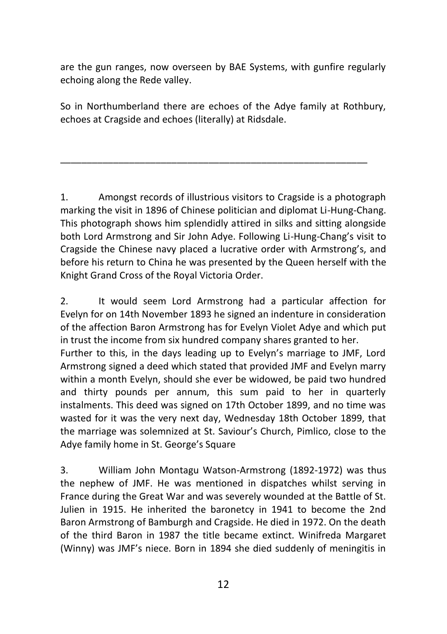are the gun ranges, now overseen by BAE Systems, with gunfire regularly echoing along the Rede valley.

So in Northumberland there are echoes of the Adye family at Rothbury, echoes at Cragside and echoes (literally) at Ridsdale.

\_\_\_\_\_\_\_\_\_\_\_\_\_\_\_\_\_\_\_\_\_\_\_\_\_\_\_\_\_\_\_\_\_\_\_\_\_\_\_\_\_\_\_\_\_\_\_\_\_\_\_\_\_\_\_\_\_\_

1. Amongst records of illustrious visitors to Cragside is a photograph marking the visit in 1896 of Chinese politician and diplomat Li-Hung-Chang. This photograph shows him splendidly attired in silks and sitting alongside both Lord Armstrong and Sir John Adye. Following Li-Hung-Chang's visit to Cragside the Chinese navy placed a lucrative order with Armstrong's, and before his return to China he was presented by the Queen herself with the Knight Grand Cross of the Royal Victoria Order.

2. It would seem Lord Armstrong had a particular affection for Evelyn for on 14th November 1893 he signed an indenture in consideration of the affection Baron Armstrong has for Evelyn Violet Adye and which put in trust the income from six hundred company shares granted to her.

Further to this, in the days leading up to Evelyn's marriage to JMF, Lord Armstrong signed a deed which stated that provided JMF and Evelyn marry within a month Evelyn, should she ever be widowed, be paid two hundred and thirty pounds per annum, this sum paid to her in quarterly instalments. This deed was signed on 17th October 1899, and no time was wasted for it was the very next day, Wednesday 18th October 1899, that the marriage was solemnized at St. Saviour's Church, Pimlico, close to the Adye family home in St. George's Square

3. William John Montagu Watson-Armstrong (1892-1972) was thus the nephew of JMF. He was mentioned in dispatches whilst serving in France during the Great War and was severely wounded at the Battle of St. Julien in 1915. He inherited the baronetcy in 1941 to become the 2nd Baron Armstrong of Bamburgh and Cragside. He died in 1972. On the death of the third Baron in 1987 the title became extinct. Winifreda Margaret (Winny) was JMF's niece. Born in 1894 she died suddenly of meningitis in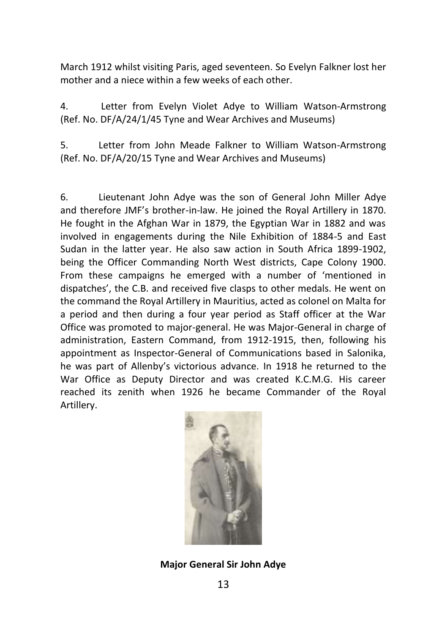March 1912 whilst visiting Paris, aged seventeen. So Evelyn Falkner lost her mother and a niece within a few weeks of each other.

4. Letter from Evelyn Violet Adye to William Watson-Armstrong (Ref. No. DF/A/24/1/45 Tyne and Wear Archives and Museums)

5. Letter from John Meade Falkner to William Watson-Armstrong (Ref. No. DF/A/20/15 Tyne and Wear Archives and Museums)

6. Lieutenant John Adye was the son of General John Miller Adye and therefore JMF's brother-in-law. He joined the Royal Artillery in 1870. He fought in the Afghan War in 1879, the Egyptian War in 1882 and was involved in engagements during the Nile Exhibition of 1884-5 and East Sudan in the latter year. He also saw action in South Africa 1899-1902, being the Officer Commanding North West districts, Cape Colony 1900. From these campaigns he emerged with a number of 'mentioned in dispatches', the C.B. and received five clasps to other medals. He went on the command the Royal Artillery in Mauritius, acted as colonel on Malta for a period and then during a four year period as Staff officer at the War Office was promoted to major-general. He was Major-General in charge of administration, Eastern Command, from 1912-1915, then, following his appointment as Inspector-General of Communications based in Salonika, he was part of Allenby's victorious advance. In 1918 he returned to the War Office as Deputy Director and was created K.C.M.G. His career reached its zenith when 1926 he became Commander of the Royal Artillery.



## **Major General Sir John Adye**